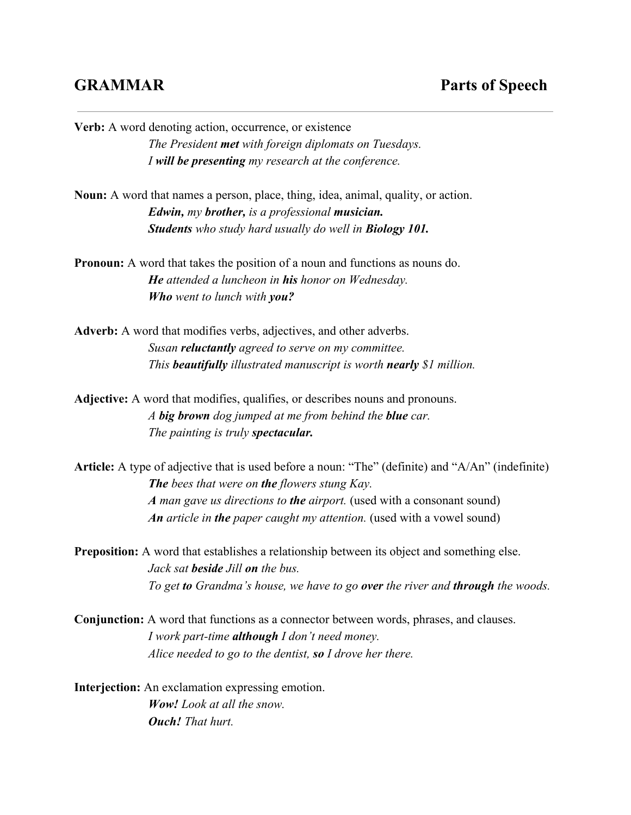**Verb:** A word denoting action, occurrence, or existence *The President metwith foreign diplomats on Tuesdays. I will be presentingmy research at the conference.* **Noun:** A word that names a person, place, thing, idea, animal, quality, or action. *Edwin, my brother,is a professional musician. Students who study hard usually do well in Biology 101.* **Pronoun:** A word that takes the position of a noun and functions as nouns do. *He attended a luncheon in hishonor on Wednesday. Who went to lunch with you?* **Adverb:** A word that modifies verbs, adjectives, and other adverbs. *Susan reluctantlyagreed to serve on my committee. This beautifully illustrated manuscript is worth nearly \$1 million.* **Adjective:** A word that modifies, qualifies, or describes nouns and pronouns. *A big brown dog jumped at me from behind the blue car. The painting is truly spectacular.* **Article:** A type of adjective that is used before a noun: "The" (definite) and "A/An" (indefinite) *Thebees that were on the flowers stung Kay. A man gave us directions to theairport.* (used with a consonant sound) *An article in thepaper caught my attention.* (used with a vowel sound)

**Preposition:** A word that establishes a relationship between its object and something else. *Jack sat besideJill onthe bus. To get toGrandma's house, we have to go overthe river and through the woods.*

**Conjunction:** A word that functions as a connector between words, phrases, and clauses. *I work parttime althoughI don't need money. Alice needed to go to the dentist, soI drove her there.*

**Interjection:** An exclamation expressing emotion. *Wow! Look at all the snow. Ouch! That hurt.*